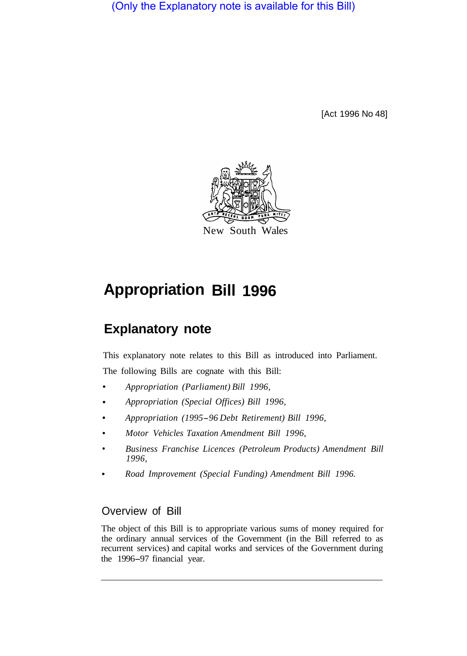(Only the Explanatory note is available for this Bill)

[Act 1996 No 48]



# **Appropriation Bill 1996**

# **Explanatory note**

This explanatory note relates to this Bill as introduced into Parliament. The following Bills are cognate with this Bill:

- *Appropriation (Parliament) Bill 1996,*
- *Appropriation (Special Offices) Bill 1996,*
- *Appropriation (1995-96 Debt Retirement) Bill 1996,*
- *Motor Vehicles Taxation Amendment Bill 1996,*
- *Business Franchise Licences (Petroleum Products) Amendment Bill 1996,*
- *Road Improvement (Special Funding) Amendment Bill 1996.*

# Overview of Bill

The object of this Bill is to appropriate various sums of money required for the ordinary annual services of the Government (in the Bill referred to as recurrent services) and capital works and services of the Government during the 1996-97 financial year.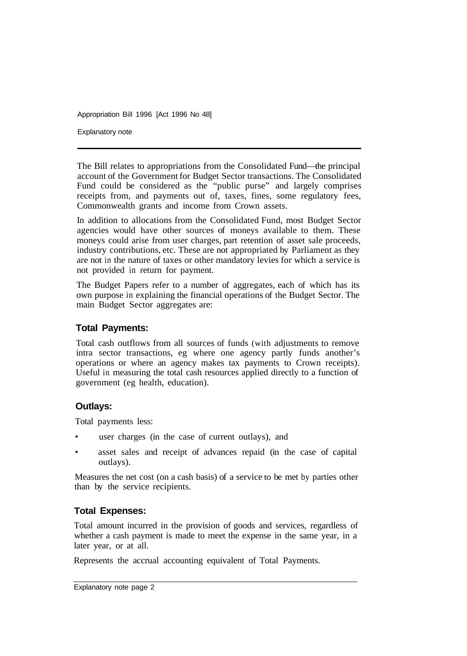Explanatory note

The Bill relates to appropriations from the Consolidated Fund—the principal account of the Government for Budget Sector transactions. The Consolidated Fund could be considered as the "public purse" and largely comprises receipts from, and payments out of, taxes, fines, some regulatory fees, Commonwealth grants and income from Crown assets.

In addition to allocations from the Consolidated Fund, most Budget Sector agencies would have other sources of moneys available to them. These moneys could arise from user charges, part retention of asset sale proceeds, industry contributions, etc. These are not appropriated by Parliament as they are not in the nature of taxes or other mandatory levies for which a service is not provided in return for payment.

The Budget Papers refer to a number of aggregates, each of which has its own purpose in explaining the financial operations of the Budget Sector. The main Budget Sector aggregates are:

#### **Total Payments:**

Total cash outflows from all sources of funds (with adjustments to remove intra sector transactions, eg where one agency partly funds another's operations or where an agency makes tax payments to Crown receipts). Useful in measuring the total cash resources applied directly to a function of government (eg health, education).

#### **Outlays:**

Total payments less:

- user charges (in the case of current outlays), and
- asset sales and receipt of advances repaid (in the case of capital outlays).

Measures the net cost (on a cash basis) of a service to be met by parties other than by the service recipients.

#### **Total Expenses:**

Total amount incurred in the provision of goods and services, regardless of whether a cash payment is made to meet the expense in the same year, in a later year, or at all.

Represents the accrual accounting equivalent of Total Payments.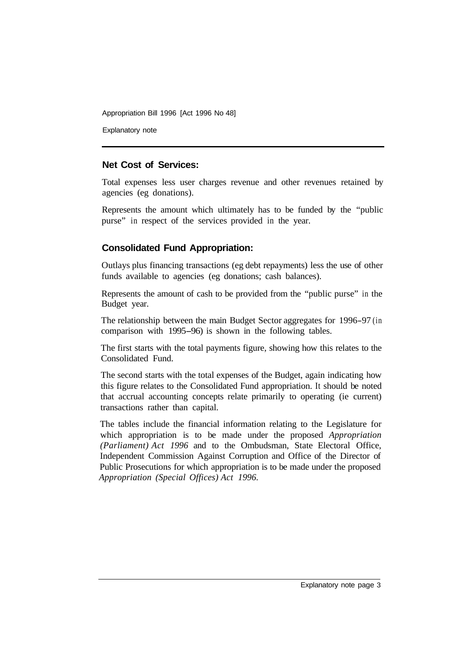Explanatory note

#### **Net Cost of Services:**

Total expenses less user charges revenue and other revenues retained by agencies (eg donations).

Represents the amount which ultimately has to be funded by the "public purse" in respect of the services provided in the year.

### **Consolidated Fund Appropriation:**

Outlays plus financing transactions (eg debt repayments) less the use of other funds available to agencies (eg donations; cash balances).

Represents the amount of cash to be provided from the "public purse" in the Budget year.

The relationship between the main Budget Sector aggregates for 1996-97 (in comparison with 1995-96) is shown in the following tables.

The first starts with the total payments figure, showing how this relates to the Consolidated Fund.

The second starts with the total expenses of the Budget, again indicating how this figure relates to the Consolidated Fund appropriation. It should be noted that accrual accounting concepts relate primarily to operating (ie current) transactions rather than capital.

The tables include the financial information relating to the Legislature for which appropriation is to be made under the proposed *Appropriation (Parliament) Act 1996* and to the Ombudsman, State Electoral Office, Independent Commission Against Corruption and Office of the Director of Public Prosecutions for which appropriation is to be made under the proposed *Appropriation (Special Offices) Act 1996.*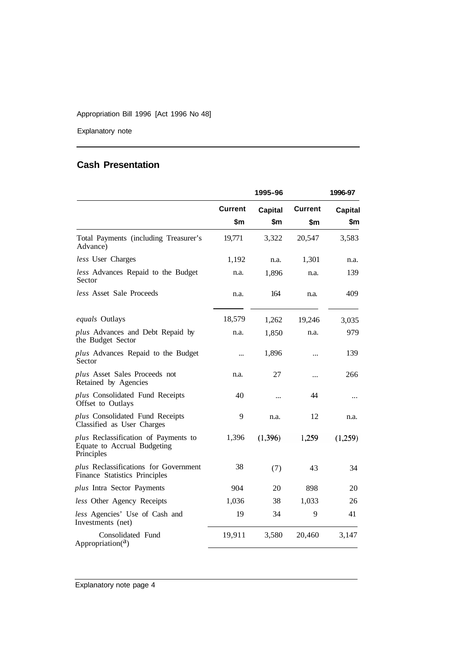Explanatory note

## **Cash Presentation**

|                                                                                   |                | 1995-96        |                | 1996-97        |
|-----------------------------------------------------------------------------------|----------------|----------------|----------------|----------------|
|                                                                                   | <b>Current</b> | <b>Capital</b> | <b>Current</b> | <b>Capital</b> |
|                                                                                   | \$m            | \$m            | \$m            | \$m            |
| Total Payments (including Treasurer's<br>Advance)                                 | 19,771         | 3,322          | 20,547         | 3,583          |
| less User Charges                                                                 | 1,192          | n.a.           | 1,301          | n.a.           |
| less Advances Repaid to the Budget<br>Sector                                      | n.a.           | 1,896          | n.a.           | 139            |
| <i>less</i> Asset Sale Proceeds                                                   | n.a.           | 164            | n.a.           | 409            |
| equals Outlays                                                                    | 18,579         | 1,262          | 19,246         | 3,035          |
| plus Advances and Debt Repaid by<br>the Budget Sector                             | n.a.           | 1,850          | n.a.           | 979            |
| plus Advances Repaid to the Budget<br>Sector                                      |                | 1,896          |                | 139            |
| plus Asset Sales Proceeds not<br>Retained by Agencies                             | n.a.           | 27             |                | 266            |
| plus Consolidated Fund Receipts<br>Offset to Outlays                              | 40             | $\ddotsc$      | 44             |                |
| plus Consolidated Fund Receipts<br>Classified as User Charges                     | 9              | n.a.           | 12             | n.a.           |
| plus Reclassification of Payments to<br>Equate to Accrual Budgeting<br>Principles | 1,396          | (1, 396)       | 1,259          | (1,259)        |
| plus Reclassifications for Government<br>Finance Statistics Principles            | 38             | (7)            | 43             | 34             |
| plus Intra Sector Payments                                                        | 904            | 20             | 898            | 20             |
| less Other Agency Receipts                                                        | 1,036          | 38             | 1,033          | 26             |
| less Agencies' Use of Cash and<br>Investments (net)                               | 19             | 34             | 9              | 41             |
| Consolidated Fund<br>Appropriation( $a$ )                                         | 19,911         | 3,580          | 20,460         | 3,147          |